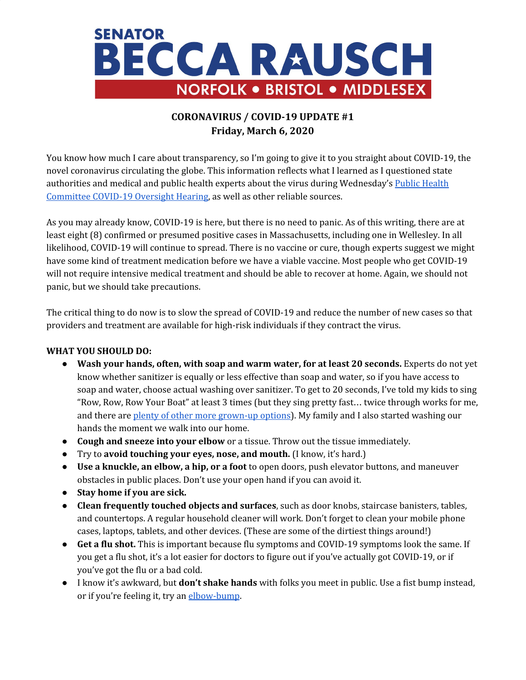

## **CORONAVIRUS / COVID-19 UPDATE #1 Friday, March 6, 2020**

You know how much I care about transparency, so I'm going to give it to you straight about COVID-19, the novel coronavirus circulating the globe. This information reflects what I learned as I questioned state authorities and medical and public health experts about the virus during Wednesday's [P](https://malegislature.gov/Events/Hearings/Detail/3454)ublic [Health](https://malegislature.gov/Events/Hearings/Detail/3454) [Committee](https://malegislature.gov/Events/Hearings/Detail/3454) COVID-19 Oversight Hearing, as well as other reliable sources.

As you may already know, COVID-19 is here, but there is no need to panic. As of this writing, there are at least eight (8) confirmed or presumed positive cases in Massachusetts, including one in Wellesley. In all likelihood, COVID-19 will continue to spread. There is no vaccine or cure, though experts suggest we might have some kind of treatment medication before we have a viable vaccine. Most people who get COVID-19 will not require intensive medical treatment and should be able to recover at home. Again, we should not panic, but we should take precautions.

The critical thing to do now is to slow the spread of COVID-19 and reduce the number of new cases so that providers and treatment are available for high-risk individuals if they contract the virus.

## **WHAT YOU SHOULD DO:**

- **Wash your hands, often, with soap and warm water, for at least 20 seconds.** Experts do not yet know whether sanitizer is equally or less effective than soap and water, so if you have access to soap and water, choose actual washing over sanitizer. To get to 20 seconds, I've told my kids to sing "Row, Row, Row Your Boat" at least 3 times (but they sing pretty fast… twice through works for me, and there are plenty of other more [grown-up](https://magic1019.radio.com/blogs/annette-wade/wash-your-hands-for-20-seconds-here-are-songs-to-help) options). My family and I also started washing our hands the moment we walk into our home.
- **Cough and sneeze into your elbow** or a tissue. Throw out the tissue immediately.
- Try to **avoid touching your eyes, nose, and mouth.** (I know, it's hard.)
- **Use a knuckle, an elbow, a hip, or a foot** to open doors, push elevator buttons, and maneuver obstacles in public places. Don't use your open hand if you can avoid it.
- **Stay home if you are sick.**
- **Clean frequently touched objects and surfaces**, such as door knobs, staircase banisters, tables, and countertops. A regular household cleaner will work. Don't forget to clean your mobile phone cases, laptops, tablets, and other devices. (These are some of the dirtiest things around!)
- **Get a flu shot.** This is important because flu symptoms and COVID-19 symptoms look the same. If you get a flu shot, it's a lot easier for doctors to figure out if you've actually got COVID-19, or if you've got the flu or a bad cold.
- I know it's awkward, but **don't shake hands** with folks you meet in public. Use a fist bump instead, or if you're feeling it, try an [elbow-bump](https://giphy.com/gifs/stickergiant-yes-success-elbow-bump-ZApq2yqkCj0Bo3NrDG).